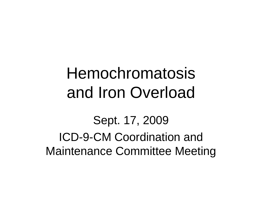Sept. 17, 2009 ICD-9-CM Coordination and Maintenance Committee Meeting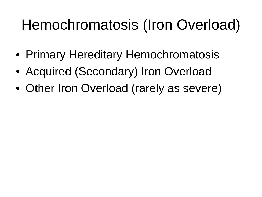- Primary Hereditary Hemochromatosis
- Acquired (Secondary) Iron Overload
- Other Iron Overload (rarely as severe)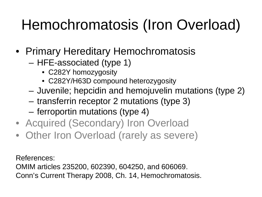- Primary Hereditary Hemochromatosis
	- HFE-associated (type 1)
		- C282Y homozygosity
		- C282Y/H63D compound heterozygosity
	- Juvenile; hepcidin and hemojuvelin mutations (type 2)
	- transferrin receptor 2 mutations (type 3)
	- ferroportin mutations (type 4)
- Acquired (Secondary) Iron Overload
- Other Iron Overload (rarely as severe)

References:

OMIM articles 235200, 602390, 604250, and 606069. Conn's Current Therapy 2008, Ch. 14, Hemochromatosis.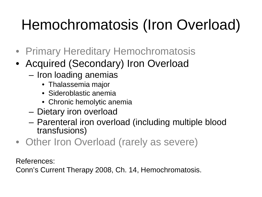- Primary Hereditary Hemochromatosis
- Acquired (Secondary) Iron Overload
	- Iron loading anemias
		- Thalassemia major
		- Sideroblastic anemia
		- Chronic hemolytic anemia
	- Dietary iron overload
	- Parenteral iron overload (including multiple blood transfusions)
- Other Iron Overload (rarely as severe)

References:

Conn's Current Therapy 2008, Ch. 14, Hemochromatosis.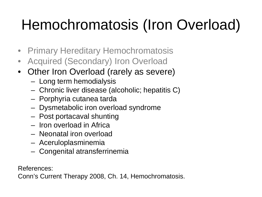- Primary Hereditary Hemochromatosis
- Acquired (Secondary) Iron Overload
- Other Iron Overload (rarely as severe)
	- Long term hemodialysis
	- Chronic liver disease (alcoholic; hepatitis C)
	- Porphyria cutanea tarda
	- Dysmetabolic iron overload syndrome
	- Post portacaval shunting
	- Iron overload in Africa
	- Neonatal iron overload
	- Aceruloplasminemia
	- Congenital atransferrinemia

References:

Conn's Current Therapy 2008, Ch. 14, Hemochromatosis.